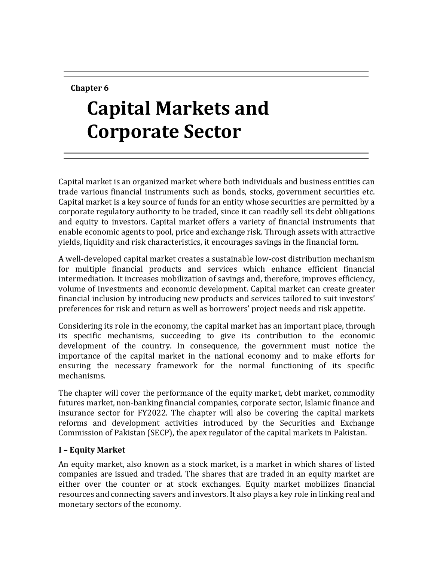# **Chapter 6**

# **Capital Markets and Corporate Sector**

Capital market is an organized market where both individuals and business entities can trade various financial instruments such as bonds, stocks, government securities etc. Capital market is a key source of funds for an entity whose securities are permitted by a corporate regulatory authority to be traded, since it can readily sell its debt obligations and equity to investors. Capital market offers a variety of financial instruments that enable economic agents to pool, price and exchange risk. Through assets with attractive yields, liquidity and risk characteristics, it encourages savings in the financial form.

A well-developed capital market creates a sustainable low-cost distribution mechanism for multiple financial products and services which enhance efficient financial intermediation. It increases mobilization of savings and, therefore, improves efficiency, volume of investments and economic development. Capital market can create greater financial inclusion by introducing new products and services tailored to suit investors' preferences for risk and return as well as borrowers' project needs and risk appetite.

Considering its role in the economy, the capital market has an important place, through its specific mechanisms, succeeding to give its contribution to the economic development of the country. In consequence, the government must notice the importance of the capital market in the national economy and to make efforts for ensuring the necessary framework for the normal functioning of its specific mechanisms.

The chapter will cover the performance of the equity market, debt market, commodity futures market, non-banking financial companies, corporate sector, Islamic finance and insurance sector for FY2022. The chapter will also be covering the capital markets reforms and development activities introduced by the Securities and Exchange Commission of Pakistan (SECP), the apex regulator of the capital markets in Pakistan.

## **I – Equity Market**

An equity market, also known as a stock market, is a market in which shares of listed companies are issued and traded. The shares that are traded in an equity market are either over the counter or at stock exchanges. Equity market mobilizes financial resources and connecting savers and investors. It also plays a key role in linking real and monetary sectors of the economy.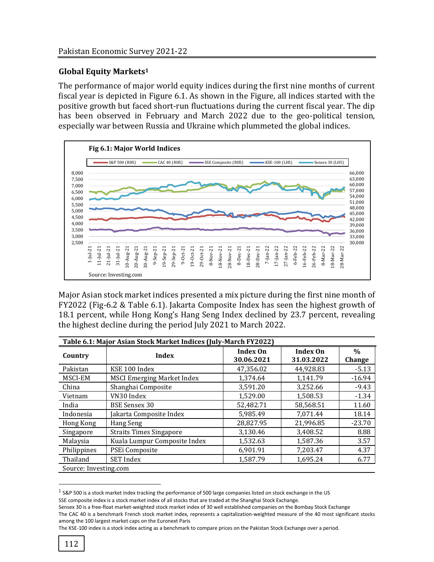# **Global Equity Markets<sup>1</sup>**

The performance of major world equity indices during the first nine months of current fiscal year is depicted in Figure 6.1. As shown in the Figure, all indices started with the positive growth but faced short-run fluctuations during the current fiscal year. The dip has been observed in February and March 2022 due to the geo-political tension, especially war between Russia and Ukraine which plummeted the global indices.



Major Asian stock market indices presented a mix picture during the first nine month of FY2022 (Fig-6.2 & Table 6.1). Jakarta Composite Index has seen the highest growth of 18.1 percent, while Hong Kong's Hang Seng Index declined by 23.7 percent, revealing the highest decline during the period July 2021 to March 2022.

|                       | Table 6.1: Major Asian Stock Market Indices (July-March FY2022) |                               |                               |                         |  |  |  |  |
|-----------------------|-----------------------------------------------------------------|-------------------------------|-------------------------------|-------------------------|--|--|--|--|
| Country               | Index                                                           | <b>Index On</b><br>30.06.2021 | <b>Index On</b><br>31.03.2022 | $\frac{0}{0}$<br>Change |  |  |  |  |
| Pakistan              | KSE 100 Index                                                   | 47,356.02                     | 44,928.83                     | $-5.13$                 |  |  |  |  |
| MSCI-EM               | <b>MSCI Emerging Market Index</b>                               | 1,374.64                      | 1,141.79                      | $-16.94$                |  |  |  |  |
| China                 | Shanghai Composite                                              | 3.591.20                      | 3,252.66                      | $-9.43$                 |  |  |  |  |
| Vietnam               | VN30 Index                                                      | 1.529.00                      | 1.508.53                      | $-1.34$                 |  |  |  |  |
| India                 | BSE Sensex 30                                                   | 52,482.71                     | 58,568.51                     | 11.60                   |  |  |  |  |
| Indonesia             | Jakarta Composite Index                                         | 5,985.49                      | 7.071.44                      | 18.14                   |  |  |  |  |
| Hong Kong             | Hang Seng                                                       | 28,827.95                     | 21,996.85                     | $-23.70$                |  |  |  |  |
| Singapore             | <b>Straits Times Singapore</b>                                  | 3,130.46                      | 3,408.52                      | 8.88                    |  |  |  |  |
| Malaysia              | Kuala Lumpur Composite Index                                    | 1,532.63                      | 1,587.36                      | 3.57                    |  |  |  |  |
| Philippines           | PSEi Composite                                                  | 6,901.91                      | 7,203.47                      | 4.37                    |  |  |  |  |
| Thailand              | <b>SET Index</b>                                                | 1,587.79                      | 1,695.24                      | 6.77                    |  |  |  |  |
| Source: Investing.com |                                                                 |                               |                               |                         |  |  |  |  |

<sup>&</sup>lt;sup>1</sup> S&P 500 is a stock market index tracking the performance of 500 large companies listed on stock exchange in the US SSE composite index is a stock market index of all stocks that are traded at the Shanghai Stock Exchange.

 $\overline{\phantom{a}}$ 

Sensex 30 is a free-float market-weighted stock market index of 30 well established companies on the Bombay Stock Exchange

The CAC 40 is a benchmark French stock market index, represents a capitalization-weighted measure of the 40 most significant stocks among the 100 largest market caps on the Euronext Paris

The KSE-100 index is a stock index acting as a benchmark to compare prices on the Pakistan Stock Exchange over a period.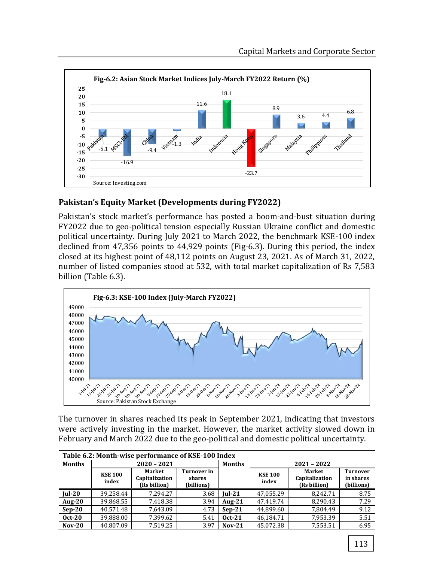

# **Pakistan's Equity Market (Developments during FY2022)**

Pakistan's stock market's performance has posted a boom-and-bust situation during FY2022 due to geo-political tension especially Russian Ukraine conflict and domestic political uncertainty. During July 2021 to March 2022, the benchmark KSE-100 index declined from 47,356 points to 44,929 points (Fig-6.3). During this period, the index closed at its highest point of 48,112 points on August 23, 2021. As of March 31, 2022, number of listed companies stood at 532, with total market capitalization of Rs 7,583 billion (Table 6.3).



The turnover in shares reached its peak in September 2021, indicating that investors were actively investing in the market. However, the market activity slowed down in February and March 2022 due to the geo-political and domestic political uncertainty.

| Table 6.2: Month-wise performance of KSE-100 Index |                         |                                          |                                     |               |                                                                     |          |                                            |  |
|----------------------------------------------------|-------------------------|------------------------------------------|-------------------------------------|---------------|---------------------------------------------------------------------|----------|--------------------------------------------|--|
| <b>Months</b>                                      | $2020 - 2021$           |                                          | <b>Months</b>                       | $2021 - 2022$ |                                                                     |          |                                            |  |
|                                                    | <b>KSE 100</b><br>index | Market<br>Capitalization<br>(Rs billion) | Turnover in<br>shares<br>(billions) |               | Market<br><b>KSE 100</b><br>Capitalization<br>index<br>(Rs billion) |          | <b>Turnover</b><br>in shares<br>(billions) |  |
| $ ul-20$                                           | 39.258.44               | 7.294.27                                 | 3.68                                | $Iul-21$      | 47.055.29                                                           | 8.242.71 | 8.75                                       |  |
| Aug- $20$                                          | 39,868.55               | 7.418.38                                 | 3.94                                | Aug- $21$     | 47.419.74                                                           | 8.290.43 | 7.29                                       |  |
| $Sep-20$                                           | 40.571.48               | 7.643.09                                 | 4.73                                | $Sep-21$      | 44,899.60                                                           | 7.804.49 | 9.12                                       |  |
| $Oct-20$                                           | 39.888.00               | 7.399.62                                 | 5.41                                | $Oct-21$      | 46.184.71                                                           | 7.953.39 | 5.51                                       |  |
| $Nov-20$                                           | 40.807.09               | 7.519.25                                 | 3.97                                | $Nov-21$      | 45.072.38                                                           | 7.553.51 | 6.95                                       |  |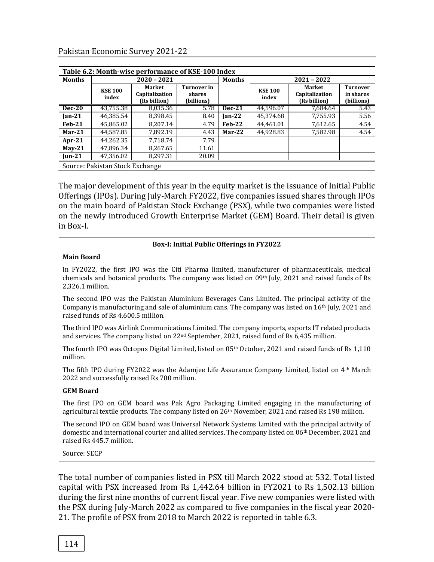| Table 6.2: Month-wise performance of KSE-100 Index |                         |                                          |                                     |               |                         |                                                 |                                            |  |
|----------------------------------------------------|-------------------------|------------------------------------------|-------------------------------------|---------------|-------------------------|-------------------------------------------------|--------------------------------------------|--|
| <b>Months</b>                                      | $2020 - 2021$           |                                          | <b>Months</b>                       | $2021 - 2022$ |                         |                                                 |                                            |  |
|                                                    | <b>KSE 100</b><br>index | Market<br>Capitalization<br>(Rs billion) | Turnover in<br>shares<br>(billions) |               | <b>KSE 100</b><br>index | <b>Market</b><br>Capitalization<br>(Rs billion) | <b>Turnover</b><br>in shares<br>(billions) |  |
| $Dec-20$                                           | 43,755.38               | 8,035.36                                 | 5.78                                | $Dec-21$      | 44,596.07               | 7,684.64                                        | 5.43                                       |  |
| $Jan-21$                                           | 46.385.54               | 8.398.45                                 | 8.40                                | $Ian-22$      | 45.374.68               | 7,755.93                                        | 5.56                                       |  |
| <b>Feb-21</b>                                      | 45,865.02               | 8.207.14                                 | 4.79                                | $Feb-22$      | 44,461.01               | 7,612.65                                        | 4.54                                       |  |
| $Mar-21$                                           | 44,587.85               | 7,892.19                                 | 4.43                                | $Mar-22$      | 44,928.83               | 7,582.98                                        | 4.54                                       |  |
| $Apr-21$                                           | 44.262.35               | 7.718.74                                 | 7.79                                |               |                         |                                                 |                                            |  |
| $May-21$                                           | 47,896.34               | 8,267.65                                 | 11.61                               |               |                         |                                                 |                                            |  |
| $Jun-21$                                           | 47,356.02               | 8.297.31                                 | 20.09                               |               |                         |                                                 |                                            |  |
| Source: Pakistan Stock Exchange                    |                         |                                          |                                     |               |                         |                                                 |                                            |  |

The major development of this year in the equity market is the issuance of Initial Public Offerings (IPOs). During July-March FY2022, five companies issued shares through IPOs on the main board of Pakistan Stock Exchange (PSX), while two companies were listed on the newly introduced Growth Enterprise Market (GEM) Board. Their detail is given in Box-I.

#### **Box-I: Initial Public Offerings in FY2022**

#### **Main Board**

In FY2022, the first IPO was the Citi Pharma limited, manufacturer of pharmaceuticals, medical chemicals and botanical products. The company was listed on 09<sup>th</sup> July, 2021 and raised funds of Rs 2,326.1 million.

The second IPO was the Pakistan Aluminium Beverages Cans Limited. The principal activity of the Company is manufacturing and sale of aluminium cans. The company was listed on 16th July, 2021 and raised funds of Rs 4,600.5 million.

The third IPO was Airlink Communications Limited. The company imports, exports IT related products and services. The company listed on 22nd September, 2021, raised fund of Rs 6,435 million.

The fourth IPO was Octopus Digital Limited, listed on  $05<sup>th</sup>$  October, 2021 and raised funds of Rs 1,110 million.

The fifth IPO during FY2022 was the Adamjee Life Assurance Company Limited, listed on 4th March 2022 and successfully raised Rs 700 million.

#### **GEM Board**

The first IPO on GEM board was Pak Agro Packaging Limited engaging in the manufacturing of agricultural textile products. The company listed on  $26<sup>th</sup>$  November, 2021 and raised Rs 198 million.

The second IPO on GEM board was Universal Network Systems Limited with the principal activity of domestic and international courier and allied services. The company listed on 06th December, 2021 and raised Rs 445.7 million.

Source: SECP

The total number of companies listed in PSX till March 2022 stood at 532. Total listed capital with PSX increased from Rs 1,442.64 billion in FY2021 to Rs 1,502.13 billion during the first nine months of current fiscal year. Five new companies were listed with the PSX during July-March 2022 as compared to five companies in the fiscal year 2020- 21. The profile of PSX from 2018 to March 2022 is reported in table 6.3.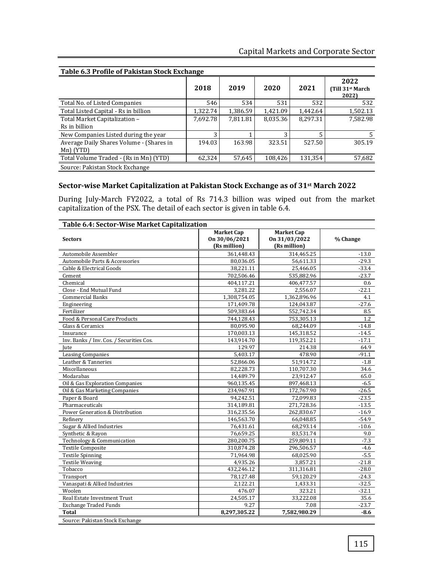| Table 6.3 Profile of Pakistan Stock Exchange |          |          |          |          |                                               |  |
|----------------------------------------------|----------|----------|----------|----------|-----------------------------------------------|--|
|                                              | 2018     | 2019     | 2020     | 2021     | 2022<br>(Till 31 <sup>st</sup> March<br>2022) |  |
| Total No. of Listed Companies                | 546      | 534      | 531      | 532      | 532                                           |  |
| Total Listed Capital - Rs in billion         | 1,322.74 | 1,386.59 | 1,421.09 | 1,442.64 | 1,502.13                                      |  |
| Total Market Capitalization -                | 7,692.78 | 7,811.81 | 8,035.36 | 8,297.31 | 7,582.98                                      |  |
| Rs in billion                                |          |          |          |          |                                               |  |
| New Companies Listed during the year         | ς        |          | ς        |          |                                               |  |
| Average Daily Shares Volume - (Shares in     | 194.03   | 163.98   | 323.51   | 527.50   | 305.19                                        |  |
| Mn) (YTD)                                    |          |          |          |          |                                               |  |
| Total Volume Traded - (Rs in Mn) (YTD)       | 62,324   | 57,645   | 108,426  | 131,354  | 57,682                                        |  |
| Source: Pakistan Stock Exchange              |          |          |          |          |                                               |  |

#### **Sector-wise Market Capitalization at Pakistan Stock Exchange as of 31st March 2022**

During July-March FY2022, a total of Rs 714.3 billion was wiped out from the market capitalization of the PSX. The detail of each sector is given in table 6.4.

| <b>Sectors</b>                           | <b>Market Cap</b><br>On 30/06/2021<br>(Rs million) | <b>Market Cap</b><br>On 31/03/2022<br>(Rs million) | % Change |  |
|------------------------------------------|----------------------------------------------------|----------------------------------------------------|----------|--|
| Automobile Assembler                     | 361,448.43                                         | 314,465.25                                         | $-13.0$  |  |
| Automobile Parts & Accessories           | 80,036.05                                          | 56,611.33                                          | $-29.3$  |  |
| Cable & Electrical Goods                 | 38.221.11                                          | 25,466.05                                          | $-33.4$  |  |
| Cement                                   | 702,506.46                                         | 535,882.96                                         | $-23.7$  |  |
| Chemical                                 | 404,117.21                                         | 406,477.57                                         | 0.6      |  |
| Close - End Mutual Fund                  | 3,281.22                                           | 2,556.07                                           | $-22.1$  |  |
| <b>Commercial Banks</b>                  | 1,308,754.05                                       | 1,362,896.96                                       | 4.1      |  |
| Engineering                              | 171,409.78                                         | 124,043.87                                         | $-27.6$  |  |
| Fertilizer                               | 509,383.64                                         | 552,742.34                                         | 8.5      |  |
| Food & Personal Care Products            | 744,128.43                                         | 753,305.13                                         | 1.2      |  |
| Glass & Ceramics                         | 80,095.90                                          | 68,244.09                                          | $-14.8$  |  |
| Insurance                                | 170,003.13                                         | 145,318.52                                         | $-14.5$  |  |
| Inv. Banks / Inv. Cos. / Securities Cos. | 143,914.70                                         | 119,352.21                                         | $-17.1$  |  |
| Jute                                     | 129.97                                             | 214.38                                             | 64.9     |  |
| <b>Leasing Companies</b>                 | 5,403.17                                           | 478.90                                             | $-91.1$  |  |
| Leather & Tanneries                      | 52,866.06                                          | 51,914.72                                          | $-1.8$   |  |
| Miscellaneous                            | 82,228.73                                          | 110,707.30                                         | 34.6     |  |
| Modarabas                                | 14,489.79                                          | 23,912.47                                          | 65.0     |  |
| Oil & Gas Exploration Companies          | 960,135.45                                         | 897,468.13                                         | $-6.5$   |  |
| Oil & Gas Marketing Companies            | 234,967.91                                         | 172,767.90                                         | $-26.5$  |  |
| Paper & Board                            | 94.242.51                                          | 72,099.83                                          | $-23.5$  |  |
| Pharmaceuticals                          | 314,189.81                                         | 271,728.36                                         | $-13.5$  |  |
| Power Generation & Distribution          | 316,235.56                                         | 262,830.67                                         | $-16.9$  |  |
| Refinery                                 | 146,563.70                                         | 66,048.85                                          | $-54.9$  |  |
| Sugar & Allied Industries                | 76,431.61                                          | 68,293.14                                          | $-10.6$  |  |
| Synthetic & Rayon                        | 76,659.25                                          | 83,531.74                                          | 9.0      |  |
| Technology & Communication               | 280,200.75                                         | 259,809.11                                         | $-7.3$   |  |
| <b>Textile Composite</b>                 | 310,874.28                                         | 296,506.57                                         | $-4.6$   |  |
| <b>Textile Spinning</b>                  | 71,964.98                                          | 68,025.90                                          | $-5.5$   |  |
| Textile Weaving                          | 4,935.26                                           | 3,857.21                                           | $-21.8$  |  |
| Tobacco                                  | 432,246.12                                         | 311,316.81                                         | $-28.0$  |  |
| Transport                                | 78,127.48                                          | 59,120.29                                          | $-24.3$  |  |
| Vanaspati & Allied Industries            | 2.122.21                                           | 1,433.31                                           | $-32.5$  |  |
| Woolen                                   | 476.07                                             | 323.21                                             | $-32.1$  |  |
| Real Estate Investment Trust             | 24.505.17                                          | 33,222.08                                          | 35.6     |  |
| <b>Exchange Traded Funds</b>             | 9.27                                               | 7.08                                               | $-23.7$  |  |
| Total                                    | 8,297,305.22                                       | 7,582,980.29                                       | $-8.6$   |  |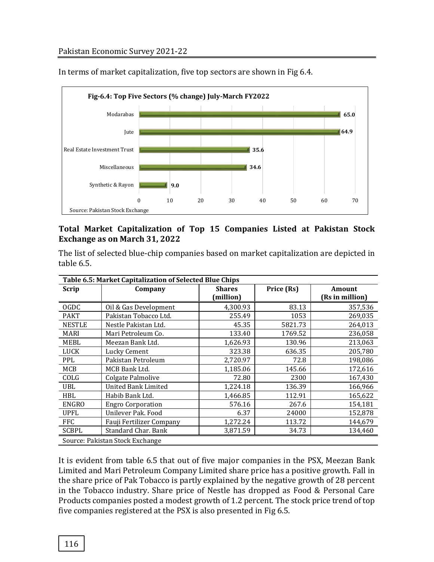

In terms of market capitalization, five top sectors are shown in Fig 6.4.

#### **Total Market Capitalization of Top 15 Companies Listed at Pakistan Stock Exchange as on March 31, 2022**

The list of selected blue-chip companies based on market capitalization are depicted in table 6.5.

| Table 6.5: Market Capitalization of Selected Blue Chips |                                 |               |            |                 |  |  |  |
|---------------------------------------------------------|---------------------------------|---------------|------------|-----------------|--|--|--|
| <b>Scrip</b>                                            | Company                         | <b>Shares</b> | Price (Rs) | Amount          |  |  |  |
|                                                         |                                 | (million)     |            | (Rs in million) |  |  |  |
| <b>OGDC</b>                                             | Oil & Gas Development           | 4,300.93      | 83.13      | 357,536         |  |  |  |
| <b>PAKT</b>                                             | Pakistan Tobacco Ltd.           | 255.49        | 1053       | 269,035         |  |  |  |
| <b>NESTLE</b>                                           | Nestle Pakistan Ltd.            | 45.35         | 5821.73    | 264,013         |  |  |  |
| <b>MARI</b>                                             | Mari Petroleum Co.              | 133.40        | 1769.52    | 236,058         |  |  |  |
| MEBL                                                    | Meezan Bank Ltd.                | 1,626.93      | 130.96     | 213,063         |  |  |  |
| <b>LUCK</b>                                             | Lucky Cement                    | 323.38        | 636.35     | 205,780         |  |  |  |
| <b>PPL</b>                                              | Pakistan Petroleum              | 2,720.97      | 72.8       | 198,086         |  |  |  |
| MCB                                                     | MCB Bank Ltd.                   | 1,185.06      | 145.66     | 172,616         |  |  |  |
| COLG                                                    | Colgate Palmolive               | 72.80         | 2300       | 167,430         |  |  |  |
| <b>UBL</b>                                              | <b>United Bank Limited</b>      | 1,224.18      | 136.39     | 166,966         |  |  |  |
| <b>HBL</b>                                              | Habib Bank Ltd.                 | 1,466.85      | 112.91     | 165,622         |  |  |  |
| <b>ENGRO</b>                                            | <b>Engro Corporation</b>        | 576.16        | 267.6      | 154,181         |  |  |  |
| <b>UPFL</b>                                             | Unilever Pak. Food              | 6.37          | 24000      | 152,878         |  |  |  |
| <b>FFC</b>                                              | Fauji Fertilizer Company        | 1,272.24      | 113.72     | 144,679         |  |  |  |
| <b>SCBPL</b>                                            | Standard Char. Bank             | 3,871.59      | 34.73      | 134,460         |  |  |  |
|                                                         | Source: Pakistan Stock Exchange |               |            |                 |  |  |  |

It is evident from table 6.5 that out of five major companies in the PSX, Meezan Bank Limited and Mari Petroleum Company Limited share price has a positive growth. Fall in the share price of Pak Tobacco is partly explained by the negative growth of 28 percent in the Tobacco industry. Share price of Nestle has dropped as Food & Personal Care Products companies posted a modest growth of 1.2 percent. The stock price trend of top five companies registered at the PSX is also presented in Fig 6.5.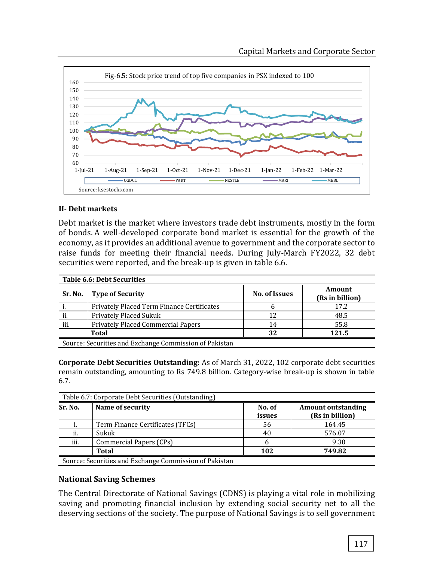

## **II- Debt markets**

[Debt market](https://timesofindia.indiatimes.com/topic/debt-market) is the market where investors trade debt [instruments,](https://timesofindia.indiatimes.com/topic/debt-securities) mostly in the form of bonds. A well-developed corporate bond market is essential for the growth of the economy, as it provides an additional avenue to government and the corporate sector to raise funds for meeting their financial needs. During July-March FY2022, 32 debt securities were reported, and the break-up is given in table 6.6.

| Table 6.6: Debt Securities                             |                                            |                      |                           |  |  |  |
|--------------------------------------------------------|--------------------------------------------|----------------------|---------------------------|--|--|--|
|                                                        | Sr. No.   Type of Security                 | <b>No. of Issues</b> | Amount<br>(Rs in billion) |  |  |  |
|                                                        | Privately Placed Term Finance Certificates |                      | 17.2                      |  |  |  |
| ii.                                                    | <b>Privately Placed Sukuk</b>              | 12                   | 48.5                      |  |  |  |
| iii.                                                   | <b>Privately Placed Commercial Papers</b>  | 14                   | 55.8                      |  |  |  |
|                                                        | <b>Total</b>                               | 32                   | 121.5                     |  |  |  |
| Source: Securities and Exchange Commission of Pakistan |                                            |                      |                           |  |  |  |

**Corporate Debt Securities Outstanding:** As of March 31, 2022, 102 corporate debt securities remain outstanding, amounting to Rs 749.8 billion. Category-wise break-up is shown in table 6.7.

|                                                        | Table 6.7: Corporate Debt Securities (Outstanding) |                  |                                              |  |  |  |  |
|--------------------------------------------------------|----------------------------------------------------|------------------|----------------------------------------------|--|--|--|--|
| Sr. No.                                                | Name of security                                   | No. of<br>issues | <b>Amount outstanding</b><br>(Rs in billion) |  |  |  |  |
|                                                        | Term Finance Certificates (TFCs)                   | 56               | 164.45                                       |  |  |  |  |
| ii.                                                    | Sukuk                                              | 40               | 576.07                                       |  |  |  |  |
| iii.                                                   | Commercial Papers (CPs)                            |                  | 9.30                                         |  |  |  |  |
|                                                        | <b>Total</b>                                       | 102              | 749.82                                       |  |  |  |  |
| Source: Securities and Exchange Commission of Pakistan |                                                    |                  |                                              |  |  |  |  |

## **National Saving Schemes**

The Central Directorate of National Savings (CDNS) is playing a vital role in mobilizing saving and promoting financial inclusion by extending social security net to all the deserving sections of the society. The purpose of National Savings is to sell government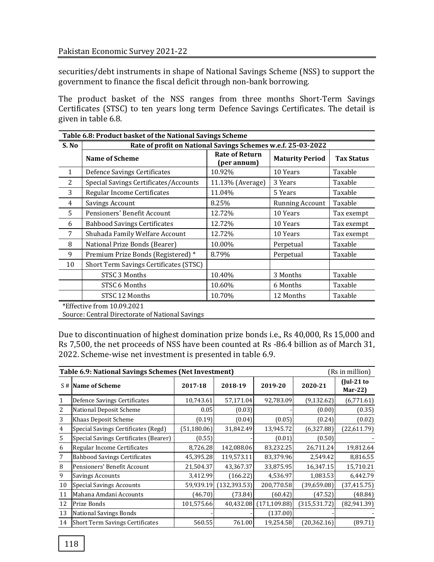#### Pakistan Economic Survey 2021-22

securities/debt instruments in shape of National Savings Scheme (NSS) to support the government to finance the fiscal deficit through non-bank borrowing.

The product basket of the NSS ranges from three months Short-Term Savings Certificates (STSC) to ten years long term Defence Savings Certificates. The detail is given in table 6.8.

| Table 6.8: Product basket of the National Savings Scheme |                                                              |                                      |                        |                   |  |  |  |
|----------------------------------------------------------|--------------------------------------------------------------|--------------------------------------|------------------------|-------------------|--|--|--|
| S. No                                                    | Rate of profit on National Savings Schemes w.e.f. 25-03-2022 |                                      |                        |                   |  |  |  |
|                                                          | <b>Name of Scheme</b>                                        | <b>Rate of Return</b><br>(per annum) | <b>Maturity Period</b> | <b>Tax Status</b> |  |  |  |
| 1                                                        | Defence Savings Certificates                                 | 10.92%                               | 10 Years               | Taxable           |  |  |  |
| 2                                                        | Special Savings Certificates/Accounts                        | 11.13% (Average)                     | 3 Years                | Taxable           |  |  |  |
| 3                                                        | Regular Income Certificates                                  | 11.04%                               | 5 Years                | Taxable           |  |  |  |
| 4                                                        | Savings Account                                              | 8.25%                                | <b>Running Account</b> | Taxable           |  |  |  |
| 5                                                        | Pensioners' Benefit Account                                  | 12.72%                               | 10 Years               | Tax exempt        |  |  |  |
| 6                                                        | <b>Bahbood Savings Certificates</b>                          | 12.72%                               | 10 Years               | Tax exempt        |  |  |  |
| 7                                                        | Shuhada Family Welfare Account                               | 12.72%                               | 10 Years               | Tax exempt        |  |  |  |
| 8                                                        | National Prize Bonds (Bearer)                                | 10.00%                               | Perpetual              | Taxable           |  |  |  |
| 9                                                        | Premium Prize Bonds (Registered) *                           | 8.79%                                | Perpetual              | Taxable           |  |  |  |
| 10                                                       | <b>Short Term Savings Certificates (STSC)</b>                |                                      |                        |                   |  |  |  |
|                                                          | STSC 3 Months                                                | 10.40%                               | 3 Months               | Taxable           |  |  |  |
|                                                          | STSC 6 Months                                                | 10.60%                               | 6 Months               | Taxable           |  |  |  |
|                                                          | STSC 12 Months                                               | 10.70%                               | 12 Months              | Taxable           |  |  |  |
|                                                          | $*$ Fffortive from 10.00.2021                                |                                      |                        |                   |  |  |  |

\*Effective from 10.09.2021 Source: Central Directorate of National Savings

Due to discontinuation of highest domination prize bonds i.e., Rs 40,000, Rs 15,000 and Rs 7,500, the net proceeds of NSS have been counted at Rs -86.4 billion as of March 31, 2022. Scheme-wise net investment is presented in table 6.9.

|    | Table 6.9: National Savings Schemes (Net Investment) |              | (Rs in million) |               |               |                           |
|----|------------------------------------------------------|--------------|-----------------|---------------|---------------|---------------------------|
|    | S# Name of Scheme                                    | 2017-18      | 2018-19         | 2019-20       | 2020-21       | $($ [ul-21 to<br>$Mar-22$ |
|    | Defence Savings Certificates                         | 10,743.61    | 57,171.04       | 92,783.09     | (9, 132.62)   | (6,771.61)                |
| 2  | National Deposit Scheme                              | 0.05         | (0.03)          |               | (0.00)        | (0.35)                    |
| 3  | Khaas Deposit Scheme                                 | (0.19)       | (0.04)          | (0.05)        | (0.24)        | (0.02)                    |
| 4  | Special Savings Certificates (Regd)                  | (51, 180.06) | 31,842.49       | 13,945.72     | (6,327.88)    | (22,611.79)               |
| 5  | Special Savings Certificates (Bearer)                | (0.55)       |                 | (0.01)        | (0.50)        |                           |
| 6  | Regular Income Certificates                          | 8,726.28     | 142,088.06      | 83,232.25     | 26,711.24     | 19,812.64                 |
| 7  | <b>Bahbood Savings Certificates</b>                  | 45,395.28    | 119,573.11      | 83,379.96     | 2,549.42      | 8,816.55                  |
| 8  | Pensioners' Benefit Account                          | 21,504.37    | 43,367.37       | 33,875.95     | 16,347.15     | 15,710.21                 |
| 9  | <b>Savings Accounts</b>                              | 3,412.99     | (166.22)        | 4,536.97      | 1,083.53      | 6,442.79                  |
| 10 | <b>Special Savings Accounts</b>                      | 59,939.19    | (132, 393.53)   | 200,770.58    | (39,659.08)   | (37, 415.75)              |
| 11 | Mahana Amdani Accounts                               | (46.70)      | (73.84)         | (60.42)       | (47.52)       | (48.84)                   |
| 12 | Prize Bonds                                          | 101,575.66   | 40,432.08       | (171, 109.88) | (315, 531.72) | (82, 941.39)              |
| 13 | National Savings Bonds                               |              |                 | (137.00)      |               |                           |
| 14 | <b>Short Term Savings Certificates</b>               | 560.55       | 761.00          | 19,254.58     | (20, 362.16)  | (89.71)                   |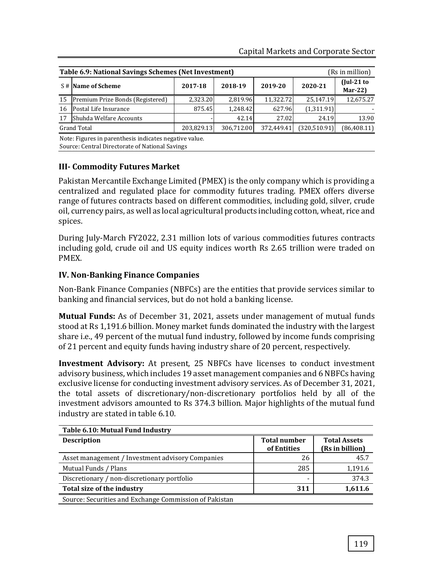|                                                        | <b>Table 6.9: National Savings Schemes (Net Investment)</b> |            | (Rs in million) |            |               |                          |
|--------------------------------------------------------|-------------------------------------------------------------|------------|-----------------|------------|---------------|--------------------------|
|                                                        | S# Name of Scheme                                           | 2017-18    | 2018-19         | 2019-20    | 2020-21       | $[ ul-21$ to<br>$Mar-22$ |
| 15                                                     | Premium Prize Bonds (Registered)                            | 2,323.20   | 2.819.96        | 11,322.72  | 25,147.19     | 12,675.27                |
| 16                                                     | Postal Life Insurance                                       | 875.45     | 1,248.42        | 627.96     | (1,311.91)    |                          |
| 17                                                     | Shuhda Welfare Accounts                                     |            | 42.14           | 27.02      | 24.19         | 13.90                    |
| <b>Grand Total</b>                                     |                                                             | 203,829.13 | 306,712.00      | 372.449.41 | (320, 510.91) | (86, 408.11)             |
| Note: Figures in parenthesis indicates negative value. |                                                             |            |                 |            |               |                          |

Source: Central Directorate of National Savings

## **III- Commodity Futures Market**

Pakistan Mercantile Exchange Limited (PMEX) is the only company which is providing a centralized and regulated place for commodity futures trading. PMEX offers diverse range of futures contracts based on different commodities, including gold, silver, crude oil, currency pairs, as well as local agricultural products including cotton, wheat, rice and spices.

During July-March FY2022, 2.31 million lots of various commodities futures contracts including gold, crude oil and US equity indices worth Rs 2.65 trillion were traded on PMEX.

# **IV. Non-Banking Finance Companies**

Non-Bank Finance Companies (NBFCs) are the entities that provide services similar to banking and financial services, but do not hold a banking license.

**Mutual Funds:** As of December 31, 2021, assets under management of mutual funds stood at Rs 1,191.6 billion. Money market funds dominated the industry with the largest share i.e., 49 percent of the mutual fund industry, followed by income funds comprising of 21 percent and equity funds having industry share of 20 percent, respectively.

**Investment Advisory:** At present, 25 NBFCs have licenses to conduct investment advisory business, which includes 19 asset management companies and 6 NBFCs having exclusive license for conducting investment advisory services. As of December 31, 2021, the total assets of discretionary/non-discretionary portfolios held by all of the investment advisors amounted to Rs 374.3 billion. Major highlights of the mutual fund industry are stated in table 6.10.

| Table 6.10: Mutual Fund Industry                       |                                    |                                        |  |  |  |  |
|--------------------------------------------------------|------------------------------------|----------------------------------------|--|--|--|--|
| <b>Description</b>                                     | <b>Total number</b><br>of Entities | <b>Total Assets</b><br>(Rs in billion) |  |  |  |  |
| Asset management / Investment advisory Companies       | 26                                 | 45.7                                   |  |  |  |  |
| Mutual Funds / Plans                                   | 285                                | 1,191.6                                |  |  |  |  |
| Discretionary / non-discretionary portfolio            |                                    | 374.3                                  |  |  |  |  |
| Total size of the industry                             | 311                                | 1,611.6                                |  |  |  |  |
| Source: Securities and Exchange Commission of Pakistan |                                    |                                        |  |  |  |  |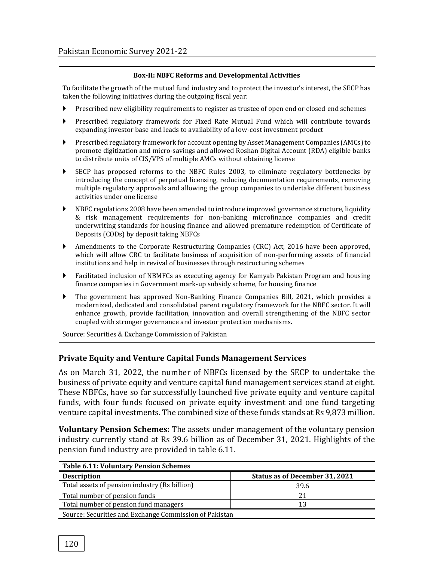#### **Box-II: NBFC Reforms and Developmental Activities**

To facilitate the growth of the mutual fund industry and to protect the investor's interest, the SECP has taken the following initiatives during the outgoing fiscal year:

- **Prescribed new eligibility requirements to register as trustee of open end or closed end schemes**
- Prescribed regulatory framework for Fixed Rate Mutual Fund which will contribute towards expanding investor base and leads to availability of a low-cost investment product
- Prescribed regulatory framework for account opening by Asset Management Companies (AMCs) to promote digitization and micro-savings and allowed Roshan Digital Account (RDA) eligible banks to distribute units of CIS/VPS of multiple AMCs without obtaining license
- SECP has proposed reforms to the NBFC Rules 2003, to eliminate regulatory bottlenecks by introducing the concept of perpetual licensing, reducing documentation requirements, removing multiple regulatory approvals and allowing the group companies to undertake different business activities under one license
- NBFC regulations 2008 have been amended to introduce improved governance structure, liquidity & risk management requirements for non-banking microfinance companies and credit underwriting standards for housing finance and allowed premature redemption of Certificate of Deposits (CODs) by deposit taking NBFCs
- Amendments to the Corporate Restructuring Companies (CRC) Act, 2016 have been approved, which will allow CRC to facilitate business of acquisition of non-performing assets of financial institutions and help in revival of businesses through restructuring schemes
- Facilitated inclusion of NBMFCs as executing agency for Kamyab Pakistan Program and housing finance companies in Government mark-up subsidy scheme, for housing finance
- The government has approved Non-Banking Finance Companies Bill, 2021, which provides a modernized, dedicated and consolidated parent regulatory framework for the NBFC sector. It will enhance growth, provide facilitation, innovation and overall strengthening of the NBFC sector coupled with stronger governance and investor protection mechanisms.

Source: Securities & Exchange Commission of Pakistan

#### **Private Equity and Venture Capital Funds Management Services**

As on March 31, 2022, the number of NBFCs licensed by the SECP to undertake the business of private equity and venture capital fund management services stand at eight. These NBFCs, have so far successfully launched five private equity and venture capital funds, with four funds focused on private equity investment and one fund targeting venture capital investments. The combined size of these funds stands at Rs 9,873 million.

**Voluntary Pension Schemes:** The assets under management of the voluntary pension industry currently stand at Rs 39.6 billion as of December 31, 2021. Highlights of the pension fund industry are provided in table 6.11.

| <b>Table 6.11: Voluntary Pension Schemes</b>           |                                       |  |  |
|--------------------------------------------------------|---------------------------------------|--|--|
| <b>Description</b>                                     | <b>Status as of December 31, 2021</b> |  |  |
| Total assets of pension industry (Rs billion)          | 39.6                                  |  |  |
| Total number of pension funds                          | 21                                    |  |  |
| Total number of pension fund managers                  |                                       |  |  |
| Source: Securities and Exchange Commission of Pakistan |                                       |  |  |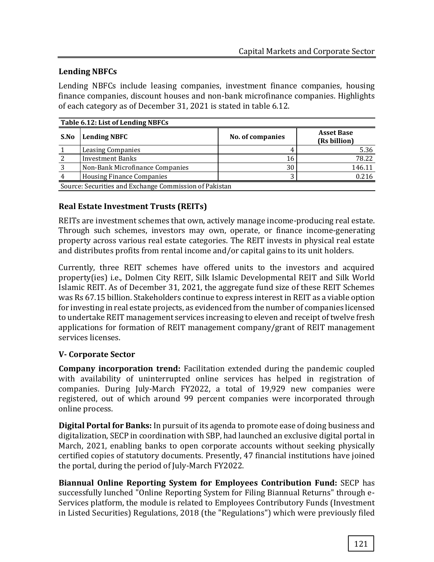# **Lending NBFCs**

Lending NBFCs include leasing companies, investment finance companies, housing finance companies, discount houses and non-bank microfinance companies. Highlights of each category as of December 31, 2021 is stated in table 6.12.

| Table 6.12: List of Lending NBFCs                      |                                  |                  |                                   |  |
|--------------------------------------------------------|----------------------------------|------------------|-----------------------------------|--|
| S.No                                                   | <b>Lending NBFC</b>              | No. of companies | <b>Asset Base</b><br>(Rs billion) |  |
|                                                        | <b>Leasing Companies</b>         |                  | 5.36                              |  |
|                                                        | <b>Investment Banks</b>          | 16               | 78.22                             |  |
|                                                        | Non-Bank Microfinance Companies  | 30               | 146.11                            |  |
|                                                        | <b>Housing Finance Companies</b> |                  | 0.216                             |  |
| Source: Securities and Exchange Commission of Pakistan |                                  |                  |                                   |  |

**Real Estate Investment Trusts (REITs)**

REITs are investment schemes that own, actively manage income-producing real estate. Through such schemes, investors may own, operate, or finance income-generating property across various real estate categories. The REIT invests in physical real estate and distributes profits from rental income and/or capital gains to its unit holders.

Currently, three REIT schemes have offered units to the investors and acquired property(ies) i.e., Dolmen City REIT, Silk Islamic Developmental REIT and Silk World Islamic REIT. As of December 31, 2021, the aggregate fund size of these REIT Schemes was Rs 67.15 billion. Stakeholders continue to express interest in REIT as a viable option for investing in real estate projects, as evidenced from the number of companies licensed to undertake REIT management services increasing to eleven and receipt of twelve fresh applications for formation of REIT management company/grant of REIT management services licenses.

## **V- Corporate Sector**

**Company incorporation trend:** Facilitation extended during the pandemic coupled with availability of uninterrupted online services has helped in registration of companies. During July-March FY2022, a total of 19,929 new companies were registered, out of which around 99 percent companies were incorporated through online process.

**Digital Portal for Banks:** In pursuit of its agenda to promote ease of doing business and digitalization, SECP in coordination with SBP, had launched an exclusive digital portal in March, 2021, enabling banks to open corporate accounts without seeking physically certified copies of statutory documents. Presently, 47 financial institutions have joined the portal, during the period of July-March FY2022.

**Biannual Online Reporting System for Employees Contribution Fund:** SECP has successfully lunched "Online Reporting System for Filing Biannual Returns" through e-Services platform, the module is related to Employees Contributory Funds (Investment in Listed Securities) Regulations, 2018 (the "Regulations") which were previously filed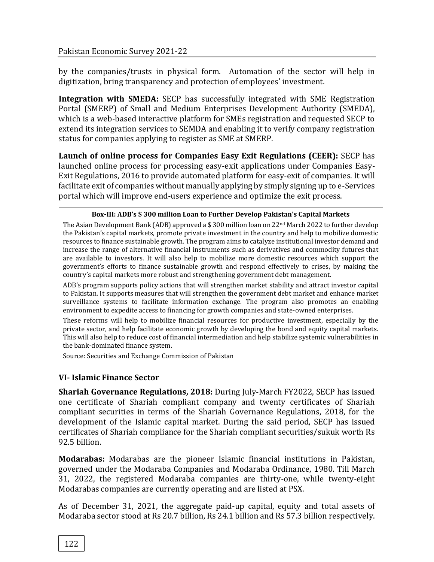by the companies/trusts in physical form. Automation of the sector will help in digitization, bring transparency and protection of employees' investment.

**Integration with SMEDA:** SECP has successfully integrated with SME Registration Portal (SMERP) of Small and Medium Enterprises Development Authority (SMEDA), which is a web-based interactive platform for SMEs registration and requested SECP to extend its integration services to SEMDA and enabling it to verify company registration status for companies applying to register as SME at SMERP.

**Launch of online process for Companies Easy Exit Regulations (CEER):** SECP has launched online process for processing easy-exit applications under Companies Easy-Exit Regulations, 2016 to provide automated platform for easy-exit of companies. It will facilitate exit of companies without manually applying by simply signing up to e-Services portal which will improve end-users experience and optimize the exit process.

#### **Box-III: ADB's \$ 300 million Loan to Further Develop Pakistan's Capital Markets**

The Asian Development Bank (ADB) approved a \$ 300 million loan on 22nd March 2022 to further develop the Pakistan's capital markets, promote private investment in the country and help to mobilize domestic resources to finance sustainable growth. The program aims to catalyze institutional investor demand and increase the range of alternative financial instruments such as derivatives and commodity futures that are available to investors. It will also help to mobilize more domestic resources which support the government's efforts to finance sustainable growth and respond effectively to crises, by making the country's capital markets more robust and strengthening government debt management.

ADB's program supports policy actions that will strengthen market stability and attract investor capital to Pakistan. It supports measures that will strengthen the government debt market and enhance market surveillance systems to facilitate information exchange. The program also promotes an enabling environment to expedite access to financing for growth companies and state-owned enterprises.

These reforms will help to mobilize financial resources for productive investment, especially by the private sector, and help facilitate economic growth by developing the bond and equity capital markets. This will also help to reduce cost of financial intermediation and help stabilize systemic vulnerabilities in the bank-dominated finance system.

Source: Securities and Exchange Commission of Pakistan

## **VI- Islamic Finance Sector**

**Shariah Governance Regulations, 2018:** During July-March FY2022, SECP has issued one certificate of Shariah compliant company and twenty certificates of Shariah compliant securities in terms of the Shariah Governance Regulations, 2018, for the development of the Islamic capital market. During the said period, SECP has issued certificates of Shariah compliance for the Shariah compliant securities/sukuk worth Rs 92.5 billion.

**Modarabas:** Modarabas are the pioneer Islamic financial institutions in Pakistan, governed under the Modaraba Companies and Modaraba Ordinance, 1980. Till March 31, 2022, the registered Modaraba companies are thirty-one, while twenty-eight Modarabas companies are currently operating and are listed at PSX.

As of December 31, 2021, the aggregate paid-up capital, equity and total assets of Modaraba sector stood at Rs 20.7 billion, Rs 24.1 billion and Rs 57.3 billion respectively.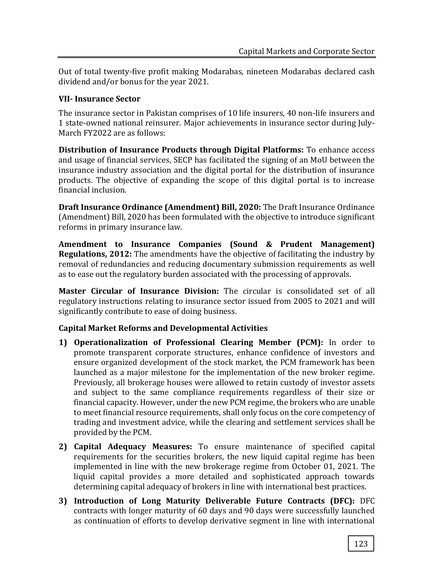Out of total twenty-five profit making Modarabas, nineteen Modarabas declared cash dividend and/or bonus for the year 2021.

#### **VII- Insurance Sector**

The insurance sector in Pakistan comprises of 10 life insurers, 40 non-life insurers and 1 state-owned national reinsurer. Major achievements in insurance sector during July-March FY2022 are as follows:

**Distribution of Insurance Products through Digital Platforms:** To enhance access and usage of financial services, SECP has facilitated the signing of an MoU between the insurance industry association and the digital portal for the distribution of insurance products. The objective of expanding the scope of this digital portal is to increase financial inclusion.

**Draft Insurance Ordinance (Amendment) Bill, 2020:** The Draft Insurance Ordinance (Amendment) Bill, 2020 has been formulated with the objective to introduce significant reforms in primary insurance law.

**Amendment to Insurance Companies (Sound & Prudent Management) Regulations, 2012:** The amendments have the objective of facilitating the industry by removal of redundancies and reducing documentary submission requirements as well as to ease out the regulatory burden associated with the processing of approvals.

**Master Circular of Insurance Division:** The circular is consolidated set of all regulatory instructions relating to insurance sector issued from 2005 to 2021 and will significantly contribute to ease of doing business.

## **Capital Market Reforms and Developmental Activities**

- **1) Operationalization of Professional Clearing Member (PCM):** In order to promote transparent corporate structures, enhance confidence of investors and ensure organized development of the stock market, the PCM framework has been launched as a major milestone for the implementation of the new broker regime. Previously, all brokerage houses were allowed to retain custody of investor assets and subject to the same compliance requirements regardless of their size or financial capacity. However, under the new PCM regime, the brokers who are unable to meet financial resource requirements, shall only focus on the core competency of trading and investment advice, while the clearing and settlement services shall be provided by the PCM.
- **2) Capital Adequacy Measures:** To ensure maintenance of specified capital requirements for the securities brokers, the new liquid capital regime has been implemented in line with the new brokerage regime from October 01, 2021. The liquid capital provides a more detailed and sophisticated approach towards determining capital adequacy of brokers in line with international best practices.
- **3) Introduction of Long Maturity Deliverable Future Contracts (DFC):** DFC contracts with longer maturity of 60 days and 90 days were successfully launched as continuation of efforts to develop derivative segment in line with international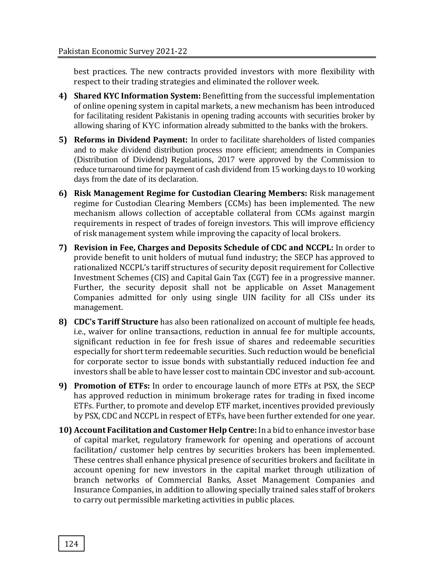best practices. The new contracts provided investors with more flexibility with respect to their trading strategies and eliminated the rollover week.

- **4) Shared KYC Information System:** Benefitting from the successful implementation of online opening system in capital markets, a new mechanism has been introduced for facilitating resident Pakistanis in opening trading accounts with securities broker by allowing sharing of KYC information already submitted to the banks with the brokers.
- **5) Reforms in Dividend Payment:** In order to facilitate shareholders of listed companies and to make dividend distribution process more efficient; amendments in Companies (Distribution of Dividend) Regulations, 2017 were approved by the Commission to reduce turnaround time for payment of cash dividend from 15 working days to 10 working days from the date of its declaration.
- **6) Risk Management Regime for Custodian Clearing Members:** Risk management regime for Custodian Clearing Members (CCMs) has been implemented. The new mechanism allows collection of acceptable collateral from CCMs against margin requirements in respect of trades of foreign investors. This will improve efficiency of risk management system while improving the capacity of local brokers.
- **7) Revision in Fee, Charges and Deposits Schedule of CDC and NCCPL:** In order to provide benefit to unit holders of mutual fund industry; the SECP has approved to rationalized NCCPL's tariff structures of security deposit requirement for Collective Investment Schemes (CIS) and Capital Gain Tax (CGT) fee in a progressive manner. Further, the security deposit shall not be applicable on Asset Management Companies admitted for only using single UIN facility for all CISs under its management.
- **8) CDC's Tariff Structure** has also been rationalized on account of multiple fee heads, i.e., waiver for online transactions, reduction in annual fee for multiple accounts, significant reduction in fee for fresh issue of shares and redeemable securities especially for short term redeemable securities. Such reduction would be beneficial for corporate sector to issue bonds with substantially reduced induction fee and investors shall be able to have lesser cost to maintain CDC investor and sub-account.
- **9) Promotion of ETFs:** In order to encourage launch of more ETFs at PSX, the SECP has approved reduction in minimum brokerage rates for trading in fixed income ETFs. Further, to promote and develop ETF market, incentives provided previously by PSX, CDC and NCCPL in respect of ETFs, have been further extended for one year.
- **10) Account Facilitation and Customer Help Centre:** In a bid to enhance investor base of capital market, regulatory framework for opening and operations of account facilitation/ customer help centres by securities brokers has been implemented. These centres shall enhance physical presence of securities brokers and facilitate in account opening for new investors in the capital market through utilization of branch networks of Commercial Banks, Asset Management Companies and Insurance Companies, in addition to allowing specially trained sales staff of brokers to carry out permissible marketing activities in public places.